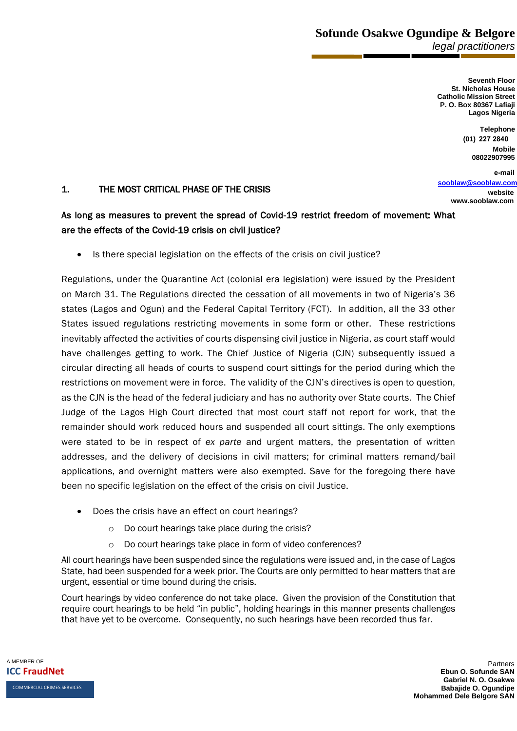**Sofunde Osakwe Ogundipe & Belgore** *legal practitioners* 

> **Seventh Floor St. Nicholas House Catholic Mission Street P. O. Box 80367 Lafiaji Lagos Nigeria**

> > **Telephone (01) 227 2840 Mobile**

**08022907995 e-mail**

**sooblaw@sooblaw.com**

**website www.sooblaw.com** 

## 1. THE MOST CRITICAL PHASE OF THE CRISIS

## As long as measures to prevent the spread of Covid-19 restrict freedom of movement: What are the effects of the Covid-19 crisis on civil justice?

• Is there special legislation on the effects of the crisis on civil justice?

Regulations, under the Quarantine Act (colonial era legislation) were issued by the President on March 31. The Regulations directed the cessation of all movements in two of Nigeria's 36 states (Lagos and Ogun) and the Federal Capital Territory (FCT). In addition, all the 33 other States issued regulations restricting movements in some form or other. These restrictions inevitably affected the activities of courts dispensing civil justice in Nigeria, as court staff would have challenges getting to work. The Chief Justice of Nigeria (CJN) subsequently issued a circular directing all heads of courts to suspend court sittings for the period during which the restrictions on movement were in force. The validity of the CJN's directives is open to question, as the CJN is the head of the federal judiciary and has no authority over State courts. The Chief Judge of the Lagos High Court directed that most court staff not report for work, that the remainder should work reduced hours and suspended all court sittings. The only exemptions were stated to be in respect of *ex parte* and urgent matters, the presentation of written addresses, and the delivery of decisions in civil matters; for criminal matters remand/bail applications, and overnight matters were also exempted. Save for the foregoing there have been no specific legislation on the effect of the crisis on civil Justice.

- Does the crisis have an effect on court hearings?
	- o Do court hearings take place during the crisis?
	- o Do court hearings take place in form of video conferences?

All court hearings have been suspended since the regulations were issued and, in the case of Lagos State, had been suspended for a week prior. The Courts are only permitted to hear matters that are urgent, essential or time bound during the crisis.

Court hearings by video conference do not take place. Given the provision of the Constitution that require court hearings to be held "in public", holding hearings in this manner presents challenges that have yet to be overcome. Consequently, no such hearings have been recorded thus far.

A MEMBER OF **ICC FraudNet**  COMMERCIAL CRIMES SERVICES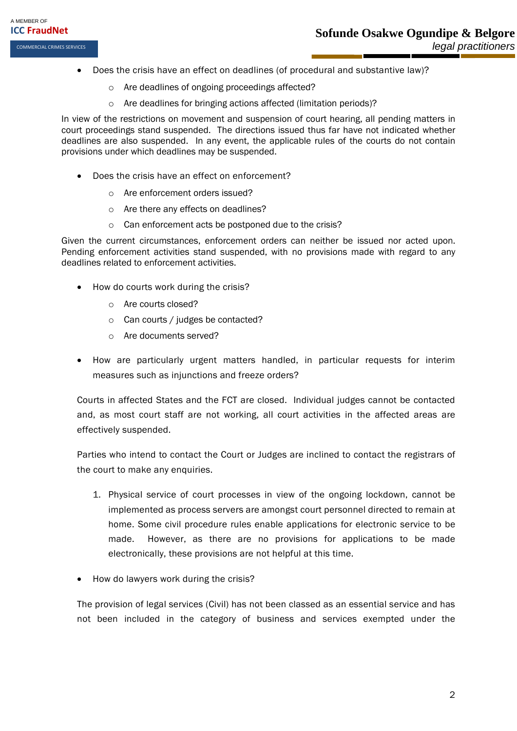- Does the crisis have an effect on deadlines (of procedural and substantive law)?
	- o Are deadlines of ongoing proceedings affected?
	- o Are deadlines for bringing actions affected (limitation periods)?

In view of the restrictions on movement and suspension of court hearing, all pending matters in court proceedings stand suspended. The directions issued thus far have not indicated whether deadlines are also suspended. In any event, the applicable rules of the courts do not contain provisions under which deadlines may be suspended.

- Does the crisis have an effect on enforcement?
	- o Are enforcement orders issued?
	- o Are there any effects on deadlines?
	- o Can enforcement acts be postponed due to the crisis?

Given the current circumstances, enforcement orders can neither be issued nor acted upon. Pending enforcement activities stand suspended, with no provisions made with regard to any deadlines related to enforcement activities.

- How do courts work during the crisis?
	- o Are courts closed?
	- o Can courts / judges be contacted?
	- o Are documents served?
- How are particularly urgent matters handled, in particular requests for interim measures such as injunctions and freeze orders?

Courts in affected States and the FCT are closed. Individual judges cannot be contacted and, as most court staff are not working, all court activities in the affected areas are effectively suspended.

Parties who intend to contact the Court or Judges are inclined to contact the registrars of the court to make any enquiries.

- 1. Physical service of court processes in view of the ongoing lockdown, cannot be implemented as process servers are amongst court personnel directed to remain at home. Some civil procedure rules enable applications for electronic service to be made. However, as there are no provisions for applications to be made electronically, these provisions are not helpful at this time.
- How do lawyers work during the crisis?

The provision of legal services (Civil) has not been classed as an essential service and has not been included in the category of business and services exempted under the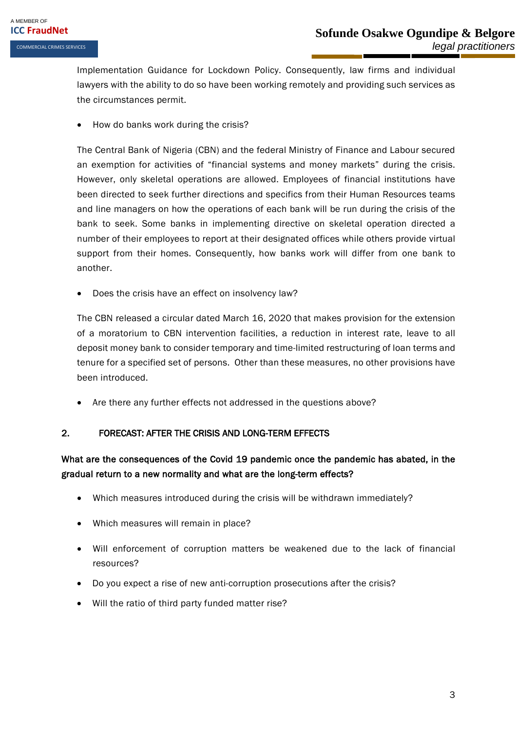Implementation Guidance for Lockdown Policy. Consequently, law firms and individual lawyers with the ability to do so have been working remotely and providing such services as the circumstances permit.

• How do banks work during the crisis?

The Central Bank of Nigeria (CBN) and the federal Ministry of Finance and Labour secured an exemption for activities of "financial systems and money markets" during the crisis. However, only skeletal operations are allowed. Employees of financial institutions have been directed to seek further directions and specifics from their Human Resources teams and line managers on how the operations of each bank will be run during the crisis of the bank to seek. Some banks in implementing directive on skeletal operation directed a number of their employees to report at their designated offices while others provide virtual support from their homes. Consequently, how banks work will differ from one bank to another.

• Does the crisis have an effect on insolvency law?

The CBN released a circular dated March 16, 2020 that makes provision for the extension of a moratorium to CBN intervention facilities, a reduction in interest rate, leave to all deposit money bank to consider temporary and time-limited restructuring of loan terms and tenure for a specified set of persons. Other than these measures, no other provisions have been introduced.

• Are there any further effects not addressed in the questions above?

## 2. FORECAST: AFTER THE CRISIS AND LONG-TERM EFFECTS

## What are the consequences of the Covid 19 pandemic once the pandemic has abated, in the gradual return to a new normality and what are the long-term effects?

- Which measures introduced during the crisis will be withdrawn immediately?
- Which measures will remain in place?
- Will enforcement of corruption matters be weakened due to the lack of financial resources?
- Do you expect a rise of new anti-corruption prosecutions after the crisis?
- Will the ratio of third party funded matter rise?